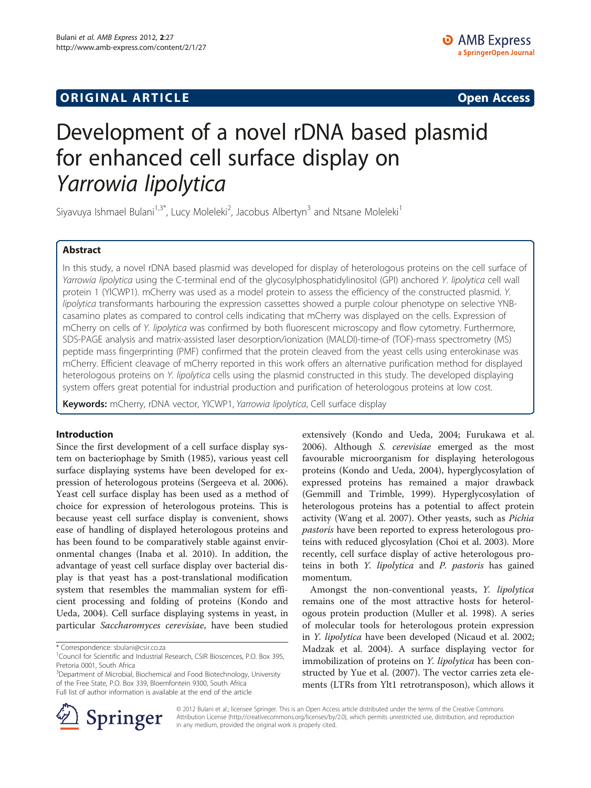## **ORIGINAL ARTICLE CONSERVANCE IN A LOCAL CONSERVANCE IN A LOCAL CONSERVANCE IN A LOCAL CONSERVANCE IN A LOCAL CONSERVANCE IN A LOCAL CONSERVANCE IN A LOCAL CONSERVANCE IN A LOCAL CONSERVANCE IN A LOCAL CONSERVANCE IN A L**

# Development of a novel rDNA based plasmid for enhanced cell surface display on Yarrowia lipolytica

Siyavuya Ishmael Bulani<sup>1,3\*</sup>, Lucy Moleleki<sup>2</sup>, Jacobus Albertyn<sup>3</sup> and Ntsane Moleleki<sup>1</sup>

## Abstract

In this study, a novel rDNA based plasmid was developed for display of heterologous proteins on the cell surface of Yarrowia lipolytica using the C-terminal end of the glycosylphosphatidylinositol (GPI) anchored Y. lipolytica cell wall protein 1 (YlCWP1). mCherry was used as a model protein to assess the efficiency of the constructed plasmid. Y. lipolytica transformants harbouring the expression cassettes showed a purple colour phenotype on selective YNBcasamino plates as compared to control cells indicating that mCherry was displayed on the cells. Expression of mCherry on cells of Y. lipolytica was confirmed by both fluorescent microscopy and flow cytometry. Furthermore, SDS-PAGE analysis and matrix-assisted laser desorption/ionization (MALDI)-time-of (TOF)-mass spectrometry (MS) peptide mass fingerprinting (PMF) confirmed that the protein cleaved from the yeast cells using enterokinase was mCherry. Efficient cleavage of mCherry reported in this work offers an alternative purification method for displayed heterologous proteins on Y. lipolytica cells using the plasmid constructed in this study. The developed displaying system offers great potential for industrial production and purification of heterologous proteins at low cost.

Keywords: mCherry, rDNA vector, YICWP1, Yarrowia lipolytica, Cell surface display

#### Introduction

Since the first development of a cell surface display system on bacteriophage by Smith ([1985](#page-7-0)), various yeast cell surface displaying systems have been developed for expression of heterologous proteins (Sergeeva et al. [2006](#page-7-0)). Yeast cell surface display has been used as a method of choice for expression of heterologous proteins. This is because yeast cell surface display is convenient, shows ease of handling of displayed heterologous proteins and has been found to be comparatively stable against environmental changes (Inaba et al. [2010\)](#page-6-0). In addition, the advantage of yeast cell surface display over bacterial display is that yeast has a post-translational modification system that resembles the mammalian system for efficient processing and folding of proteins (Kondo and Ueda, [2004\)](#page-6-0). Cell surface displaying systems in yeast, in particular Saccharomyces cerevisiae, have been studied

\* Correspondence: [sbulani@csir.co.za](mailto:sbulani@csir.co.za) <sup>1</sup>

<sup>3</sup>Department of Microbial, Biochemical and Food Biotechnology, University of the Free State, P.O. Box 339, Bloemfontein 9300, South Africa Full list of author information is available at the end of the article

extensively (Kondo and Ueda, [2004;](#page-6-0) Furukawa et al. [2006](#page-6-0)). Although S. cerevisiae emerged as the most favourable microorganism for displaying heterologous proteins (Kondo and Ueda, [2004](#page-6-0)), hyperglycosylation of expressed proteins has remained a major drawback (Gemmill and Trimble, [1999\)](#page-6-0). Hyperglycosylation of heterologous proteins has a potential to affect protein activity (Wang et al. [2007\)](#page-7-0). Other yeasts, such as Pichia pastoris have been reported to express heterologous proteins with reduced glycosylation (Choi et al. [2003\)](#page-6-0). More recently, cell surface display of active heterologous proteins in both Y. lipolytica and P. pastoris has gained momentum.

Amongst the non-conventional yeasts, Y. lipolytica remains one of the most attractive hosts for heterologous protein production (Muller et al. [1998](#page-6-0)). A series of molecular tools for heterologous protein expression in Y. lipolytica have been developed (Nicaud et al. [2002](#page-7-0); Madzak et al. [2004\)](#page-6-0). A surface displaying vector for immobilization of proteins on Y. lipolytica has been constructed by Yue et al. [\(2007](#page-7-0)). The vector carries zeta elements (LTRs from Ylt1 retrotransposon), which allows it



© 2012 Bulani et al.; licensee Springer. This is an Open Access article distributed under the terms of the Creative Commons Attribution License [\(http://creativecommons.org/licenses/by/2.0\)](http://creativecommons.org/licenses/by/2.0), which permits unrestricted use, distribution, and reproduction in any medium, provided the original work is properly cited.

<sup>&</sup>lt;sup>1</sup> Council for Scientific and Industrial Research, CSIR Bioscences, P.O. Box 395, Pretoria 0001, South Africa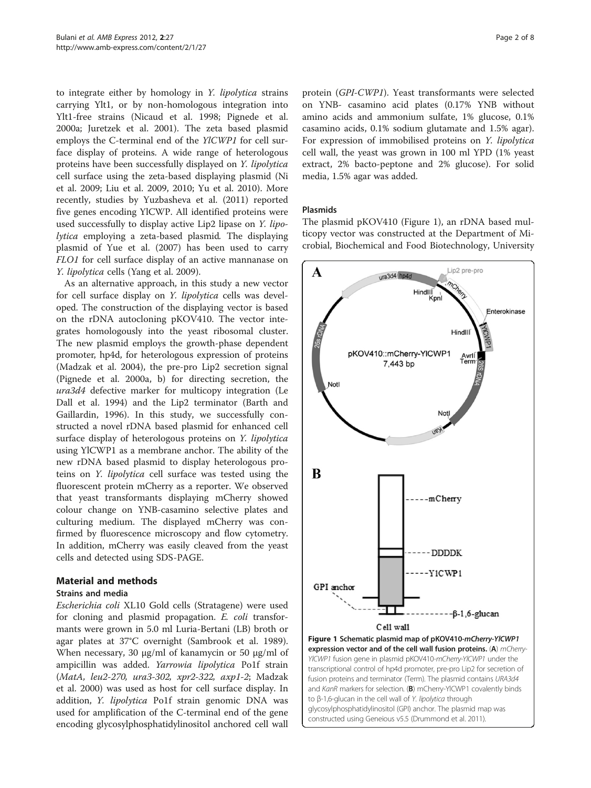<span id="page-1-0"></span>to integrate either by homology in Y. lipolytica strains carrying Ylt1, or by non-homologous integration into Ylt1-free strains (Nicaud et al. [1998](#page-6-0); Pignede et al. [2000a;](#page-7-0) Juretzek et al. [2001](#page-6-0)). The zeta based plasmid employs the C-terminal end of the YlCWP1 for cell surface display of proteins. A wide range of heterologous proteins have been successfully displayed on Y. lipolytica cell surface using the zeta-based displaying plasmid (Ni et al. [2009;](#page-6-0) Liu et al. [2009](#page-6-0), [2010;](#page-6-0) Yu et al. [2010](#page-7-0)). More recently, studies by Yuzbasheva et al. ([2011](#page-7-0)) reported five genes encoding YlCWP. All identified proteins were used successfully to display active Lip2 lipase on Y. lipolytica employing a zeta-based plasmid. The displaying plasmid of Yue et al. ([2007](#page-7-0)) has been used to carry FLO1 for cell surface display of an active mannanase on Y. lipolytica cells (Yang et al. [2009](#page-7-0)).

As an alternative approach, in this study a new vector for cell surface display on Y. lipolytica cells was developed. The construction of the displaying vector is based on the rDNA autocloning pKOV410. The vector integrates homologously into the yeast ribosomal cluster. The new plasmid employs the growth-phase dependent promoter, hp4d, for heterologous expression of proteins (Madzak et al. [2004](#page-6-0)), the pre-pro Lip2 secretion signal (Pignede et al. [2000a](#page-7-0), [b\)](#page-7-0) for directing secretion, the ura3d4 defective marker for multicopy integration (Le Dall et al. [1994](#page-6-0)) and the Lip2 terminator (Barth and Gaillardin, [1996\)](#page-6-0). In this study, we successfully constructed a novel rDNA based plasmid for enhanced cell surface display of heterologous proteins on Y. lipolytica using YlCWP1 as a membrane anchor. The ability of the new rDNA based plasmid to display heterologous proteins on Y. lipolytica cell surface was tested using the fluorescent protein mCherry as a reporter. We observed that yeast transformants displaying mCherry showed colour change on YNB-casamino selective plates and culturing medium. The displayed mCherry was confirmed by fluorescence microscopy and flow cytometry. In addition, mCherry was easily cleaved from the yeast cells and detected using SDS-PAGE.

## Material and methods

#### Strains and media

Escherichia coli XL10 Gold cells (Stratagene) were used for cloning and plasmid propagation. E. coli transformants were grown in 5.0 ml Luria-Bertani (LB) broth or agar plates at 37°C overnight (Sambrook et al. [1989](#page-7-0)). When necessary, 30 μg/ml of kanamycin or 50 μg/ml of ampicillin was added. Yarrowia lipolytica Po1f strain (MatA, leu2-270, ura3-302, xpr2-322, axp1-2; Madzak et al. [2000\)](#page-6-0) was used as host for cell surface display. In addition, Y. lipolytica Po1f strain genomic DNA was used for amplification of the C-terminal end of the gene encoding glycosylphosphatidylinositol anchored cell wall

protein (GPI-CWP1). Yeast transformants were selected on YNB- casamino acid plates (0.17% YNB without amino acids and ammonium sulfate, 1% glucose, 0.1% casamino acids, 0.1% sodium glutamate and 1.5% agar). For expression of immobilised proteins on Y. lipolytica cell wall, the yeast was grown in 100 ml YPD (1% yeast extract, 2% bacto-peptone and 2% glucose). For solid media, 1.5% agar was added.

### Plasmids

The plasmid pKOV410 (Figure 1), an rDNA based multicopy vector was constructed at the Department of Microbial, Biochemical and Food Biotechnology, University



glycosylphosphatidylinositol (GPI) anchor. The plasmid map was constructed using Geneious v5.5 (Drummond et al. [2011\)](#page-6-0).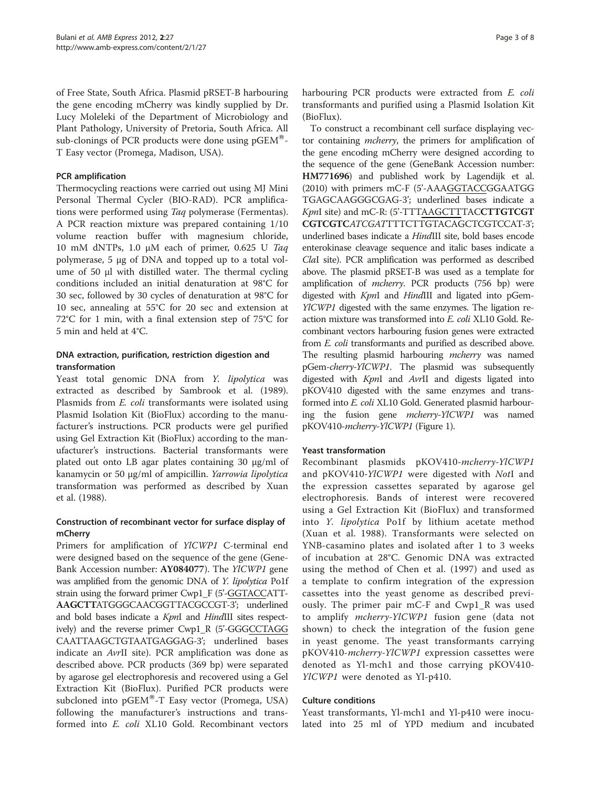of Free State, South Africa. Plasmid pRSET-B harbouring the gene encoding mCherry was kindly supplied by Dr. Lucy Moleleki of the Department of Microbiology and Plant Pathology, University of Pretoria, South Africa. All sub-clonings of PCR products were done using  $pGEM^{\circledast}$ -T Easy vector (Promega, Madison, USA).

#### PCR amplification

Thermocycling reactions were carried out using MJ Mini Personal Thermal Cycler (BIO-RAD). PCR amplifications were performed using Taq polymerase (Fermentas). A PCR reaction mixture was prepared containing 1/10 volume reaction buffer with magnesium chloride, 10 mM dNTPs, 1.0 μM each of primer, 0.625 U Taq polymerase, 5 μg of DNA and topped up to a total volume of 50 μl with distilled water. The thermal cycling conditions included an initial denaturation at 98°C for 30 sec, followed by 30 cycles of denaturation at 98°C for 10 sec, annealing at 55°C for 20 sec and extension at 72°C for 1 min, with a final extension step of 75°C for 5 min and held at 4°C.

### DNA extraction, purification, restriction digestion and transformation

Yeast total genomic DNA from Y. lipolytica was extracted as described by Sambrook et al. ([1989](#page-7-0)). Plasmids from *E. coli* transformants were isolated using Plasmid Isolation Kit (BioFlux) according to the manufacturer's instructions. PCR products were gel purified using Gel Extraction Kit (BioFlux) according to the manufacturer's instructions. Bacterial transformants were plated out onto LB agar plates containing 30 μg/ml of kanamycin or 50 μg/ml of ampicillin. Yarrowia lipolytica transformation was performed as described by Xuan et al. [\(1988](#page-7-0)).

### Construction of recombinant vector for surface display of mCherry

Primers for amplification of YlCWP1 C-terminal end were designed based on the sequence of the gene (Gene-Bank Accession number: AY084077). The YlCWP1 gene was amplified from the genomic DNA of *Y. lipolytica* Po1f strain using the forward primer Cwp1\_F (5'-GGTACCATT-AAGCTTATGGGCAACGGTTACGCCGT-3'; underlined and bold bases indicate a KpnI and HindIII sites respectively) and the reverse primer Cwp1\_R (5'-GGGCCTAGG CAATTAAGCTGTAATGAGGAG-3'; underlined bases indicate an AvrII site). PCR amplification was done as described above. PCR products (369 bp) were separated by agarose gel electrophoresis and recovered using a Gel Extraction Kit (BioFlux). Purified PCR products were subcloned into  $pGEM^{\omega}$ -T Easy vector (Promega, USA) following the manufacturer's instructions and transformed into E. coli XL10 Gold. Recombinant vectors

harbouring PCR products were extracted from *E. coli* transformants and purified using a Plasmid Isolation Kit (BioFlux).

To construct a recombinant cell surface displaying vector containing mcherry, the primers for amplification of the gene encoding mCherry were designed according to the sequence of the gene (GeneBank Accession number: HM771696) and published work by Lagendijk et al. ([2010](#page-6-0)) with primers mC-F (5'-AAAGGTACCGGAATGG TGAGCAAGGGCGAG-3'; underlined bases indicate a KpnI site) and mC-R: (5'-TTTAAGCTTTACCTTGTCGT CGTCGTCATCGATTTTCTTGTACAGCTCGTCCAT-3'; underlined bases indicate a HindIII site, bold bases encode enterokinase cleavage sequence and italic bases indicate a ClaI site). PCR amplification was performed as described above. The plasmid pRSET-B was used as a template for amplification of mcherry. PCR products (756 bp) were digested with KpnI and HindIII and ligated into pGem-YlCWP1 digested with the same enzymes. The ligation reaction mixture was transformed into E. coli XL10 Gold. Recombinant vectors harbouring fusion genes were extracted from E. coli transformants and purified as described above. The resulting plasmid harbouring *mcherry* was named pGem-cherry-YlCWP1. The plasmid was subsequently digested with KpnI and AvrII and digests ligated into pKOV410 digested with the same enzymes and transformed into E. coli XL10 Gold. Generated plasmid harbouring the fusion gene mcherry-YlCWP1 was named pKOV410-mcherry-YlCWP1 (Figure [1\)](#page-1-0).

#### Yeast transformation

Recombinant plasmids pKOV410-mcherry-YlCWP1 and pKOV410-YlCWP1 were digested with NotI and the expression cassettes separated by agarose gel electrophoresis. Bands of interest were recovered using a Gel Extraction Kit (BioFlux) and transformed into Y. lipolytica Po1f by lithium acetate method (Xuan et al. [1988](#page-7-0)). Transformants were selected on YNB-casamino plates and isolated after 1 to 3 weeks of incubation at 28°C. Genomic DNA was extracted using the method of Chen et al. ([1997\)](#page-6-0) and used as a template to confirm integration of the expression cassettes into the yeast genome as described previously. The primer pair mC-F and Cwp1\_R was used to amplify mcherry-YlCWP1 fusion gene (data not shown) to check the integration of the fusion gene in yeast genome. The yeast transformants carrying pKOV410-mcherry-YlCWP1 expression cassettes were denoted as Yl-mch1 and those carrying pKOV410- YlCWP1 were denoted as Yl-p410.

#### Culture conditions

Yeast transformants, Yl-mch1 and Yl-p410 were inoculated into 25 ml of YPD medium and incubated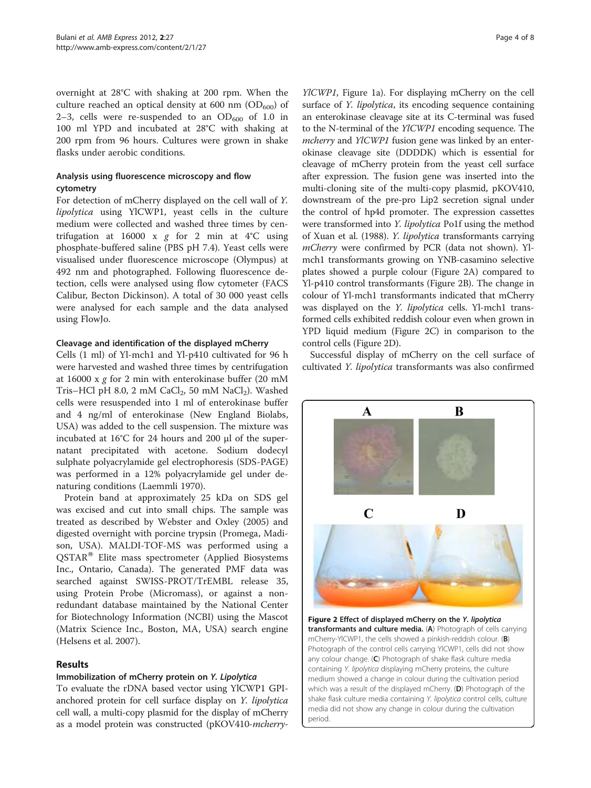<span id="page-3-0"></span>overnight at 28°C with shaking at 200 rpm. When the culture reached an optical density at 600 nm  $OD_{600}$  of 2–3, cells were re-suspended to an  $OD_{600}$  of 1.0 in 100 ml YPD and incubated at 28°C with shaking at 200 rpm from 96 hours. Cultures were grown in shake flasks under aerobic conditions.

#### Analysis using fluorescence microscopy and flow cytometry

For detection of mCherry displayed on the cell wall of Y. lipolytica using YlCWP1, yeast cells in the culture medium were collected and washed three times by centrifugation at 16000 x  $g$  for 2 min at 4°C using phosphate-buffered saline (PBS pH 7.4). Yeast cells were visualised under fluorescence microscope (Olympus) at 492 nm and photographed. Following fluorescence detection, cells were analysed using flow cytometer (FACS Calibur, Becton Dickinson). A total of 30 000 yeast cells were analysed for each sample and the data analysed using FlowJo.

### Cleavage and identification of the displayed mCherry

Cells (1 ml) of Yl-mch1 and Yl-p410 cultivated for 96 h were harvested and washed three times by centrifugation at 16000 x g for 2 min with enterokinase buffer (20 mM Tris–HCl pH 8.0, 2 mM CaCl<sub>2</sub>, 50 mM NaCl<sub>2</sub>). Washed cells were resuspended into 1 ml of enterokinase buffer and 4 ng/ml of enterokinase (New England Biolabs, USA) was added to the cell suspension. The mixture was incubated at 16°C for 24 hours and 200 μl of the supernatant precipitated with acetone. Sodium dodecyl sulphate polyacrylamide gel electrophoresis (SDS-PAGE) was performed in a 12% polyacrylamide gel under denaturing conditions (Laemmli [1970\)](#page-6-0).

Protein band at approximately 25 kDa on SDS gel was excised and cut into small chips. The sample was treated as described by Webster and Oxley [\(2005](#page-7-0)) and digested overnight with porcine trypsin (Promega, Madison, USA). MALDI-TOF-MS was performed using a  $QSTAR^{\otimes}$  Elite mass spectrometer (Applied Biosystems Inc., Ontario, Canada). The generated PMF data was searched against SWISS-PROT/TrEMBL release 35, using Protein Probe (Micromass), or against a nonredundant database maintained by the National Center for Biotechnology Information (NCBI) using the Mascot (Matrix Science Inc., Boston, MA, USA) search engine (Helsens et al. [2007\)](#page-6-0).

## Results

## Immobilization of mCherry protein on Y. Lipolytica

To evaluate the rDNA based vector using YlCWP1 GPIanchored protein for cell surface display on Y. lipolytica cell wall, a multi-copy plasmid for the display of mCherry as a model protein was constructed (pKOV410-mcherryYlCWP1, Figure [1a](#page-1-0)). For displaying mCherry on the cell surface of *Y. lipolytica*, its encoding sequence containing an enterokinase cleavage site at its C-terminal was fused to the N-terminal of the YlCWP1 encoding sequence. The mcherry and YlCWP1 fusion gene was linked by an enterokinase cleavage site (DDDDK) which is essential for cleavage of mCherry protein from the yeast cell surface after expression. The fusion gene was inserted into the multi-cloning site of the multi-copy plasmid, pKOV410, downstream of the pre-pro Lip2 secretion signal under the control of hp4d promoter. The expression cassettes were transformed into Y. lipolytica Po1f using the method of Xuan et al. [\(1988\)](#page-7-0). Y. lipolytica transformants carrying mCherry were confirmed by PCR (data not shown). Ylmch1 transformants growing on YNB-casamino selective plates showed a purple colour (Figure 2A) compared to Yl-p410 control transformants (Figure 2B). The change in colour of Yl-mch1 transformants indicated that mCherry was displayed on the *Y. lipolytica* cells. Yl-mch1 transformed cells exhibited reddish colour even when grown in YPD liquid medium (Figure 2C) in comparison to the control cells (Figure 2D).

Successful display of mCherry on the cell surface of cultivated Y. lipolytica transformants was also confirmed



Figure 2 Effect of displayed mCherry on the Y. lipolytica transformants and culture media. (A) Photograph of cells carrying mCherry-YlCWP1, the cells showed a pinkish-reddish colour. (B) Photograph of the control cells carrying YlCWP1, cells did not show any colour change. (C) Photograph of shake flask culture media containing Y. lipolytica displaying mCherry proteins, the culture medium showed a change in colour during the cultivation period which was a result of the displayed mCherry. (D) Photograph of the shake flask culture media containing Y. lipolytica control cells, culture media did not show any change in colour during the cultivation period.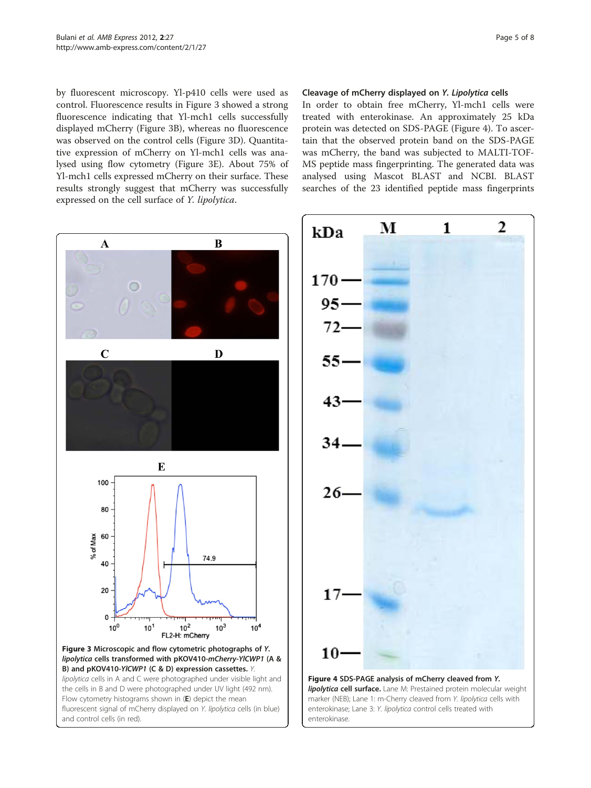<span id="page-4-0"></span>by fluorescent microscopy. Yl-p410 cells were used as control. Fluorescence results in Figure 3 showed a strong fluorescence indicating that Yl-mch1 cells successfully displayed mCherry (Figure 3B), whereas no fluorescence was observed on the control cells (Figure 3D). Quantitative expression of mCherry on Yl-mch1 cells was analysed using flow cytometry (Figure 3E). About 75% of Yl-mch1 cells expressed mCherry on their surface. These results strongly suggest that mCherry was successfully expressed on the cell surface of Y. lipolytica.

#### Cleavage of mCherry displayed on Y. Lipolytica cells

In order to obtain free mCherry, Yl-mch1 cells were treated with enterokinase. An approximately 25 kDa protein was detected on SDS-PAGE (Figure 4). To ascertain that the observed protein band on the SDS-PAGE was mCherry, the band was subjected to MALTI-TOF-MS peptide mass fingerprinting. The generated data was analysed using Mascot BLAST and NCBI. BLAST searches of the 23 identified peptide mass fingerprints



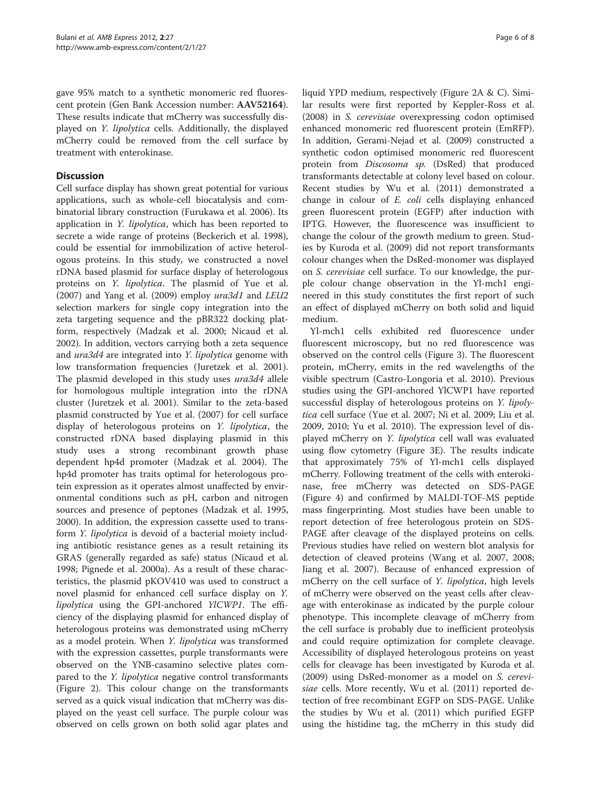gave 95% match to a synthetic monomeric red fluorescent protein (Gen Bank Accession number: AAV52164). These results indicate that mCherry was successfully displayed on Y. lipolytica cells. Additionally, the displayed mCherry could be removed from the cell surface by treatment with enterokinase.

## **Discussion**

Cell surface display has shown great potential for various applications, such as whole-cell biocatalysis and combinatorial library construction (Furukawa et al. [2006\)](#page-6-0). Its application in *Y. lipolytica*, which has been reported to secrete a wide range of proteins (Beckerich et al. [1998](#page-6-0)), could be essential for immobilization of active heterologous proteins. In this study, we constructed a novel rDNA based plasmid for surface display of heterologous proteins on Y. lipolytica. The plasmid of Yue et al. ([2007](#page-7-0)) and Yang et al. ([2009](#page-7-0)) employ ura3d1 and LEU2 selection markers for single copy integration into the zeta targeting sequence and the pBR322 docking platform, respectively (Madzak et al. [2000;](#page-6-0) Nicaud et al. [2002](#page-7-0)). In addition, vectors carrying both a zeta sequence and ura3d4 are integrated into Y. lipolytica genome with low transformation frequencies (Juretzek et al. [2001](#page-6-0)). The plasmid developed in this study uses ura3d4 allele for homologous multiple integration into the rDNA cluster (Juretzek et al. [2001\)](#page-6-0). Similar to the zeta-based plasmid constructed by Yue et al. ([2007\)](#page-7-0) for cell surface display of heterologous proteins on Y. lipolytica, the constructed rDNA based displaying plasmid in this study uses a strong recombinant growth phase dependent hp4d promoter (Madzak et al. [2004\)](#page-6-0). The hp4d promoter has traits optimal for heterologous protein expression as it operates almost unaffected by environmental conditions such as pH, carbon and nitrogen sources and presence of peptones (Madzak et al. [1995](#page-6-0), [2000](#page-6-0)). In addition, the expression cassette used to transform Y. lipolytica is devoid of a bacterial moiety including antibiotic resistance genes as a result retaining its GRAS (generally regarded as safe) status (Nicaud et al. [1998](#page-6-0); Pignede et al. [2000a\)](#page-7-0). As a result of these characteristics, the plasmid pKOV410 was used to construct a novel plasmid for enhanced cell surface display on Y. *lipolytica* using the GPI-anchored *YICWP1*. The efficiency of the displaying plasmid for enhanced display of heterologous proteins was demonstrated using mCherry as a model protein. When Y. lipolytica was transformed with the expression cassettes, purple transformants were observed on the YNB-casamino selective plates compared to the *Y. lipolytica* negative control transformants (Figure [2](#page-3-0)). This colour change on the transformants served as a quick visual indication that mCherry was displayed on the yeast cell surface. The purple colour was observed on cells grown on both solid agar plates and

liquid YPD medium, respectively (Figure [2A](#page-3-0) & C). Similar results were first reported by Keppler-Ross et al. ([2008\)](#page-6-0) in S. cerevisiae overexpressing codon optimised enhanced monomeric red fluorescent protein (EmRFP). In addition, Gerami-Nejad et al. ([2009\)](#page-6-0) constructed a synthetic codon optimised monomeric red fluorescent protein from Discosoma sp. (DsRed) that produced transformants detectable at colony level based on colour. Recent studies by Wu et al. ([2011](#page-7-0)) demonstrated a change in colour of E. coli cells displaying enhanced green fluorescent protein (EGFP) after induction with IPTG. However, the fluorescence was insufficient to change the colour of the growth medium to green. Studies by Kuroda et al. ([2009](#page-6-0)) did not report transformants colour changes when the DsRed-monomer was displayed on S. cerevisiae cell surface. To our knowledge, the purple colour change observation in the Yl-mch1 engineered in this study constitutes the first report of such an effect of displayed mCherry on both solid and liquid medium.

Yl-mch1 cells exhibited red fluorescence under fluorescent microscopy, but no red fluorescence was observed on the control cells (Figure [3](#page-4-0)). The fluorescent protein, mCherry, emits in the red wavelengths of the visible spectrum (Castro-Longoria et al. [2010](#page-6-0)). Previous studies using the GPI-anchored YlCWP1 have reported successful display of heterologous proteins on Y. lipolytica cell surface (Yue et al. [2007;](#page-7-0) Ni et al. [2009](#page-6-0); Liu et al. [2009](#page-6-0), [2010;](#page-6-0) Yu et al. [2010](#page-7-0)). The expression level of displayed mCherry on Y. lipolytica cell wall was evaluated using flow cytometry (Figure [3E\)](#page-4-0). The results indicate that approximately 75% of Yl-mch1 cells displayed mCherry. Following treatment of the cells with enterokinase, free mCherry was detected on SDS-PAGE (Figure [4](#page-4-0)) and confirmed by MALDI-TOF-MS peptide mass fingerprinting. Most studies have been unable to report detection of free heterologous protein on SDS-PAGE after cleavage of the displayed proteins on cells. Previous studies have relied on western blot analysis for detection of cleaved proteins (Wang et al. [2007, 2008](#page-7-0); Jiang et al. [2007\)](#page-6-0). Because of enhanced expression of mCherry on the cell surface of *Y. lipolytica*, high levels of mCherry were observed on the yeast cells after cleavage with enterokinase as indicated by the purple colour phenotype. This incomplete cleavage of mCherry from the cell surface is probably due to inefficient proteolysis and could require optimization for complete cleavage. Accessibility of displayed heterologous proteins on yeast cells for cleavage has been investigated by Kuroda et al. ([2009\)](#page-6-0) using DsRed-monomer as a model on S. cerevisiae cells. More recently, Wu et al. ([2011](#page-7-0)) reported detection of free recombinant EGFP on SDS-PAGE. Unlike the studies by Wu et al. ([2011\)](#page-7-0) which purified EGFP using the histidine tag, the mCherry in this study did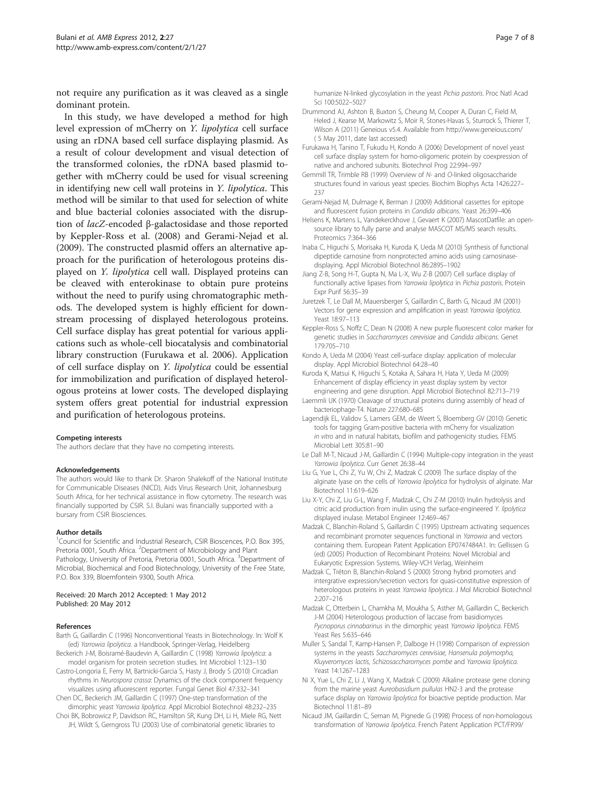<span id="page-6-0"></span>not require any purification as it was cleaved as a single dominant protein.

In this study, we have developed a method for high level expression of mCherry on Y. lipolytica cell surface using an rDNA based cell surface displaying plasmid. As a result of colour development and visual detection of the transformed colonies, the rDNA based plasmid together with mCherry could be used for visual screening in identifying new cell wall proteins in Y. lipolytica. This method will be similar to that used for selection of white and blue bacterial colonies associated with the disruption of lacZ-encoded β-galactosidase and those reported by Keppler-Ross et al. (2008) and Gerami-Nejad et al. (2009). The constructed plasmid offers an alternative approach for the purification of heterologous proteins displayed on Y. lipolytica cell wall. Displayed proteins can be cleaved with enterokinase to obtain pure proteins without the need to purify using chromatographic methods. The developed system is highly efficient for downstream processing of displayed heterologous proteins. Cell surface display has great potential for various applications such as whole-cell biocatalysis and combinatorial library construction (Furukawa et al. 2006). Application of cell surface display on Y. lipolytica could be essential for immobilization and purification of displayed heterologous proteins at lower costs. The developed displaying system offers great potential for industrial expression and purification of heterologous proteins.

#### Competing interests

The authors declare that they have no competing interests.

#### Acknowledgements

The authors would like to thank Dr. Sharon Shalekoff of the National Institute for Communicable Diseases (NICD), Aids Virus Research Unit, Johannesburg South Africa, for her technical assistance in flow cytometry. The research was financially supported by CSIR. S.I. Bulani was financially supported with a bursary from CSIR Biosciences.

#### Author details

<sup>1</sup> Council for Scientific and Industrial Research, CSIR Bioscences, P.O. Box 395, Pretoria 0001, South Africa. <sup>2</sup>Department of Microbiology and Plant Pathology, University of Pretoria, Pretoria 0001, South Africa. <sup>3</sup>Department of Microbial, Biochemical and Food Biotechnology, University of the Free State, P.O. Box 339, Bloemfontein 9300, South Africa.

#### Received: 20 March 2012 Accepted: 1 May 2012 Published: 20 May 2012

#### References

- Barth G, Gaillardin C (1996) Nonconventional Yeasts in Biotechnology. In: Wolf K (ed) Yarrowia lipolytica. a Handbook, Springer-Verlag, Heidelberg
- Beckerich J-M, Boisramé-Baudevin A, Gaillardin C (1998) Yarrowia lipolytica: a model organism for protein secretion studies. Int Microbiol 1:123–130
- Castro-Longoria E, Ferry M, Bartnicki-Garcia S, Hasty J, Brody S (2010) Circadian rhythms in Neurospora crassa: Dynamics of the clock component frequency visualizes using afluorescent reporter. Fungal Genet Biol 47:332–341
- Chen DC, Beckerich JM, Gaillardin C (1997) One-step transformation of the dimorphic yeast Yarrowia lipolytica. Appl Microbiol Biotechnol 48:232–235 Choi BK, Bobrowicz P, Davidson RC, Hamilton SR, Kung DH, Li H, Miele RG, Nett
- JH, Wildt S, Gerngross TU (2003) Use of combinatorial genetic libraries to

humanize N-linked glycosylation in the yeast Pichia pastoris. Proc Natl Acad Sci 100:5022–5027

- Drummond AJ, Ashton B, Buxton S, Cheung M, Cooper A, Duran C, Field M, Heled J, Kearse M, Markowitz S, Moir R, Stones-Havas S, Sturrock S, Thierer T, Wilson A (2011) Geneious v5.4. Available from<http://www.geneious.com/> ( 5 May 2011, date last accessed)
- Furukawa H, Tanino T, Fukudu H, Kondo A (2006) Development of novel yeast cell surface display system for homo-oligomeric protein by coexpression of native and anchored subunits. Biotechnol Prog 22:994–997
- Gemmill TR, Trimble RB (1999) Overview of N- and O-linked oligosaccharide structures found in various yeast species. Biochim Biophys Acta 1426:227– 237
- Gerami-Nejad M, Dulmage K, Berman J (2009) Additional cassettes for epitope and fluorescent fusion proteins in Candida albicans. Yeast 26:399–406
- Helsens K, Martens L, Vandekerckhove J, Gevaert K (2007) MascotDatfile: an opensource library to fully parse and analyse MASCOT MS/MS search results. Proteomics 7:364–366
- Inaba C, Higuchi S, Morisaka H, Kuroda K, Ueda M (2010) Synthesis of functional dipeptide carnosine from nonprotected amino acids using carnosinasedisplaying. Appl Microbiol Biotechnol 86:2895–1902
- Jiang Z-B, Song H-T, Gupta N, Ma L-X, Wu Z-B (2007) Cell surface display of functionally active lipases from Yarrowia lipolytica in Pichia pastoris. Protein Expr Purif 56:35–39
- Juretzek T, Le Dall M, Mauersberger S, Gaillardin C, Barth G, Nicaud JM (2001) Vectors for gene expression and amplification in yeast Yarrowia lipolytica. Yeast 18:97–113
- Keppler-Ross S, Noffz C, Dean N (2008) A new purple fluorescent color marker for genetic studies in Saccharomyces cerevisiae and Candida albicans. Genet 179:705–710
- Kondo A, Ueda M (2004) Yeast cell-surface display: application of molecular display. Appl Microbiol Biotechnol 64:28–40
- Kuroda K, Matsui K, Higuchi S, Kotaka A, Sahara H, Hata Y, Ueda M (2009) Enhancement of display efficiency in yeast display system by vector engineering and gene disruption. Appl Microbiol Biotechnol 82:713–719
- Laemmli UK (1970) Cleavage of structural proteins during assembly of head of bacteriophage-T4. Nature 227:680–685
- Lagendijk EL, Validov S, Lamers GEM, de Weert S, Bloemberg GV (2010) Genetic tools for tagging Gram-positive bacteria with mCherry for visualization in vitro and in natural habitats, biofilm and pathogenicity studies. FEMS Microbial Lett 305:81–90
- Le Dall M-T, Nicaud J-M, Gaillardin C (1994) Multiple-copy integration in the yeast Yarrowia lipolytica. Curr Genet 26:38–44
- Liu G, Yue L, Chi Z, Yu W, Chi Z, Madzak C (2009) The surface display of the alginate lyase on the cells of Yarrowia lipolytica for hydrolysis of alginate. Mar Biotechnol 11:619–626
- Liu X-Y, Chi Z, Liu G-L, Wang F, Madzak C, Chi Z-M (2010) Inulin hydrolysis and citric acid production from inulin using the surface-engineered Y. lipolytica displayed inulase. Metabol Engineer 12:469–467
- Madzak C, Blanchin-Roland S, Gaillardin C (1995) Upstream activating sequences and recombinant promoter sequences functional in Yarrowia and vectors containing them. European Patent Application EP0747484A1. In: Gellissen G (ed) (2005) Production of Recombinant Proteins: Novel Microbial and Eukaryotic Expression Systems. Wiley-VCH Verlag, Weinheim
- Madzak C, Tréton B, Blanchin-Roland S (2000) Strong hybrid promoters and intergrative expression/secretion vectors for quasi-constitutive expression of heterologous proteins in yeast Yarrowia lipolytica. J Mol Microbiol Biotechnol 2:207–216
- Madzak C, Otterbein L, Chamkha M, Moukha S, Asther M, Gaillardin C, Beckerich J-M (2004) Heterologous production of laccase from basidiomyces Pycnoporus cinnabarinus in the dimorphic yeast Yarrowia lipolytica. FEMS Yeast Res 5:635–646
- Muller S, Sandal T, Kamp-Hansen P, Dalboge H (1998) Comparison of expression systems in the yeasts Saccharomyces cerevisiae, Hansenula polymorpha, Kluyveromyces lactis, Schizosaccharomyces pombe and Yarrowia lipolytica. Yeast 14:1267–1283
- Ni X, Yue L, Chi Z, Li J, Wang X, Madzak C (2009) Alkaline protease gene cloning from the marine yeast Aureobasidium pullulas HN2-3 and the protease surface display on Yarrowia lipolytica for bioactive peptide production. Mar Biotechnol 11:81–89
- Nicaud JM, Gaillardin C, Seman M, Pignede G (1998) Process of non-homologous transformation of Yarrowia lipolytica. French Patent Application PCT/FR99/